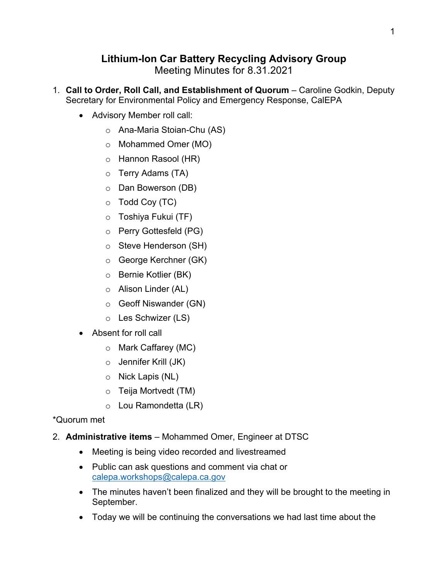## **Lithium-Ion Car Battery Recycling Advisory Group**

Meeting Minutes for 8.31.2021

- 1. **Call to Order, Roll Call, and Establishment of Quorum**  Caroline Godkin, Deputy Secretary for Environmental Policy and Emergency Response, CalEPA
	- Advisory Member roll call:
		- o Ana-Maria Stoian-Chu (AS)
		- o Mohammed Omer (MO)
		- o Hannon Rasool (HR)
		- o Terry Adams (TA)
		- o Dan Bowerson (DB)
		- o Todd Coy (TC)
		- o Toshiya Fukui (TF)
		- o Perry Gottesfeld (PG)
		- o Steve Henderson (SH)
		- o George Kerchner (GK)
		- o Bernie Kotlier (BK)
		- o Alison Linder (AL)
		- o Geoff Niswander (GN)
		- o Les Schwizer (LS)
	- Absent for roll call
		- o Mark Caffarey (MC)
		- o Jennifer Krill (JK)
		- o Nick Lapis (NL)
		- o Teija Mortvedt (TM)
		- o Lou Ramondetta (LR)

## \*Quorum met

- 2. **Administrative items**  Mohammed Omer, Engineer at DTSC
	- Meeting is being video recorded and livestreamed
	- Public can ask questions and comment via chat or [calepa.workshops@calepa.ca.gov](mailto:calepa.workshops@calepa.ca.gov)
	- The minutes haven't been finalized and they will be brought to the meeting in September.
	- Today we will be continuing the conversations we had last time about the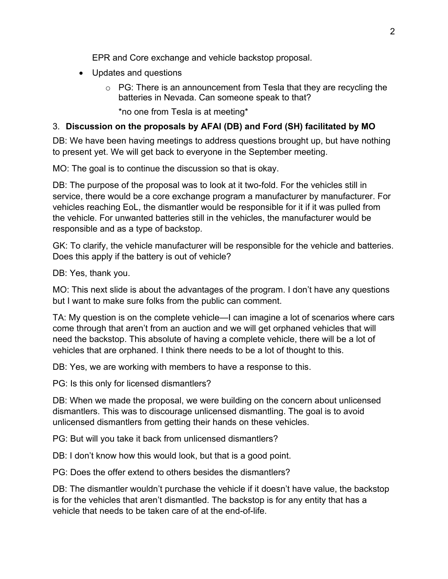EPR and Core exchange and vehicle backstop proposal.

- Updates and questions
	- $\circ$  PG: There is an announcement from Tesla that they are recycling the batteries in Nevada. Can someone speak to that?

\*no one from Tesla is at meeting\*

## 3. **Discussion on the proposals by AFAI (DB) and Ford (SH) facilitated by MO**

DB: We have been having meetings to address questions brought up, but have nothing to present yet. We will get back to everyone in the September meeting.

MO: The goal is to continue the discussion so that is okay.

DB: The purpose of the proposal was to look at it two-fold. For the vehicles still in service, there would be a core exchange program a manufacturer by manufacturer. For vehicles reaching EoL, the dismantler would be responsible for it if it was pulled from the vehicle. For unwanted batteries still in the vehicles, the manufacturer would be responsible and as a type of backstop.

GK: To clarify, the vehicle manufacturer will be responsible for the vehicle and batteries. Does this apply if the battery is out of vehicle?

DB: Yes, thank you.

MO: This next slide is about the advantages of the program. I don't have any questions but I want to make sure folks from the public can comment.

TA: My question is on the complete vehicle—I can imagine a lot of scenarios where cars come through that aren't from an auction and we will get orphaned vehicles that will need the backstop. This absolute of having a complete vehicle, there will be a lot of vehicles that are orphaned. I think there needs to be a lot of thought to this.

DB: Yes, we are working with members to have a response to this.

PG: Is this only for licensed dismantlers?

DB: When we made the proposal, we were building on the concern about unlicensed dismantlers. This was to discourage unlicensed dismantling. The goal is to avoid unlicensed dismantlers from getting their hands on these vehicles.

PG: But will you take it back from unlicensed dismantlers?

DB: I don't know how this would look, but that is a good point.

PG: Does the offer extend to others besides the dismantlers?

DB: The dismantler wouldn't purchase the vehicle if it doesn't have value, the backstop is for the vehicles that aren't dismantled. The backstop is for any entity that has a vehicle that needs to be taken care of at the end-of-life.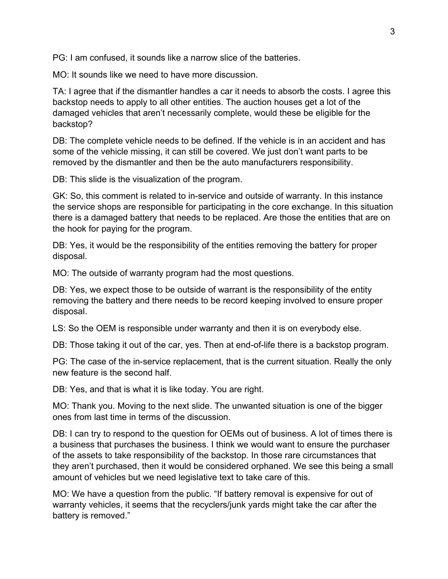PG: I am confused, it sounds like a narrow slice of the batteries.

MO: It sounds like we need to have more discussion.

TA: I agree that if the dismantler handles a car it needs to absorb the costs. I agree this backstop needs to apply to all other entities. The auction houses get a lot of the damaged vehicles that aren't necessarily complete, would these be eligible for the backstop?

DB: The complete vehicle needs to be defined. If the vehicle is in an accident and has some of the vehicle missing, it can still be covered. We just don't want parts to be removed by the dismantler and then be the auto manufacturers responsibility.

DB: This slide is the visualization of the program.

GK: So, this comment is related to in-service and outside of warranty. In this instance the service shops are responsible for participating in the core exchange. In this situation there is a damaged battery that needs to be replaced. Are those the entities that are on the hook for paying for the program.

DB: Yes, it would be the responsibility of the entities removing the battery for proper disposal.

MO: The outside of warranty program had the most questions.

DB: Yes, we expect those to be outside of warrant is the responsibility of the entity removing the battery and there needs to be record keeping involved to ensure proper disposal.

LS: So the OEM is responsible under warranty and then it is on everybody else.

DB: Those taking it out of the car, yes. Then at end-of-life there is a backstop program.

PG: The case of the in-service replacement, that is the current situation. Really the only new feature is the second half.

DB: Yes, and that is what it is like today. You are right.

MO: Thank you. Moving to the next slide. The unwanted situation is one of the bigger ones from last time in terms of the discussion.

DB: I can try to respond to the question for OEMs out of business. A lot of times there is a business that purchases the business. I think we would want to ensure the purchaser of the assets to take responsibility of the backstop. In those rare circumstances that they aren't purchased, then it would be considered orphaned. We see this being a small amount of vehicles but we need legislative text to take care of this.

MO: We have a question from the public. "If battery removal is expensive for out of warranty vehicles, it seems that the recyclers/junk yards might take the car after the battery is removed."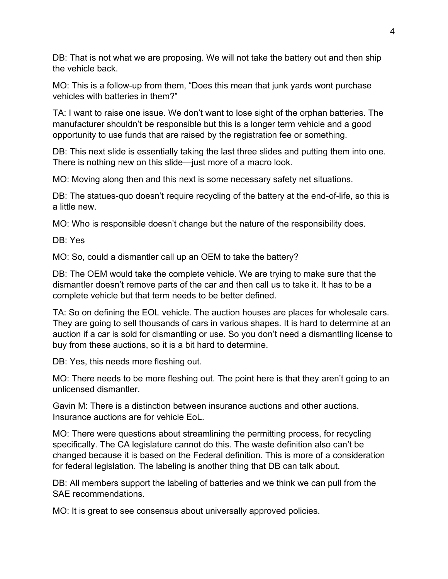DB: That is not what we are proposing. We will not take the battery out and then ship the vehicle back.

MO: This is a follow-up from them, "Does this mean that junk yards wont purchase vehicles with batteries in them?"

TA: I want to raise one issue. We don't want to lose sight of the orphan batteries. The manufacturer shouldn't be responsible but this is a longer term vehicle and a good opportunity to use funds that are raised by the registration fee or something.

DB: This next slide is essentially taking the last three slides and putting them into one. There is nothing new on this slide—just more of a macro look.

MO: Moving along then and this next is some necessary safety net situations.

DB: The statues-quo doesn't require recycling of the battery at the end-of-life, so this is a little new.

MO: Who is responsible doesn't change but the nature of the responsibility does.

DB: Yes

MO: So, could a dismantler call up an OEM to take the battery?

DB: The OEM would take the complete vehicle. We are trying to make sure that the dismantler doesn't remove parts of the car and then call us to take it. It has to be a complete vehicle but that term needs to be better defined.

TA: So on defining the EOL vehicle. The auction houses are places for wholesale cars. They are going to sell thousands of cars in various shapes. It is hard to determine at an auction if a car is sold for dismantling or use. So you don't need a dismantling license to buy from these auctions, so it is a bit hard to determine.

DB: Yes, this needs more fleshing out.

MO: There needs to be more fleshing out. The point here is that they aren't going to an unlicensed dismantler.

Gavin M: There is a distinction between insurance auctions and other auctions. Insurance auctions are for vehicle EoL.

MO: There were questions about streamlining the permitting process, for recycling specifically. The CA legislature cannot do this. The waste definition also can't be changed because it is based on the Federal definition. This is more of a consideration for federal legislation. The labeling is another thing that DB can talk about.

DB: All members support the labeling of batteries and we think we can pull from the SAE recommendations.

MO: It is great to see consensus about universally approved policies.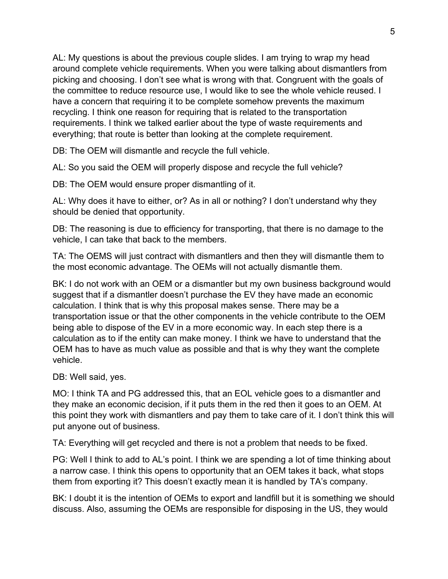AL: My questions is about the previous couple slides. I am trying to wrap my head around complete vehicle requirements. When you were talking about dismantlers from picking and choosing. I don't see what is wrong with that. Congruent with the goals of the committee to reduce resource use, I would like to see the whole vehicle reused. I have a concern that requiring it to be complete somehow prevents the maximum recycling. I think one reason for requiring that is related to the transportation requirements. I think we talked earlier about the type of waste requirements and everything; that route is better than looking at the complete requirement.

DB: The OEM will dismantle and recycle the full vehicle.

AL: So you said the OEM will properly dispose and recycle the full vehicle?

DB: The OEM would ensure proper dismantling of it.

AL: Why does it have to either, or? As in all or nothing? I don't understand why they should be denied that opportunity.

DB: The reasoning is due to efficiency for transporting, that there is no damage to the vehicle, I can take that back to the members.

TA: The OEMS will just contract with dismantlers and then they will dismantle them to the most economic advantage. The OEMs will not actually dismantle them.

BK: I do not work with an OEM or a dismantler but my own business background would suggest that if a dismantler doesn't purchase the EV they have made an economic calculation. I think that is why this proposal makes sense. There may be a transportation issue or that the other components in the vehicle contribute to the OEM being able to dispose of the EV in a more economic way. In each step there is a calculation as to if the entity can make money. I think we have to understand that the OEM has to have as much value as possible and that is why they want the complete vehicle.

DB: Well said, yes.

MO: I think TA and PG addressed this, that an EOL vehicle goes to a dismantler and they make an economic decision, if it puts them in the red then it goes to an OEM. At this point they work with dismantlers and pay them to take care of it. I don't think this will put anyone out of business.

TA: Everything will get recycled and there is not a problem that needs to be fixed.

PG: Well I think to add to AL's point. I think we are spending a lot of time thinking about a narrow case. I think this opens to opportunity that an OEM takes it back, what stops them from exporting it? This doesn't exactly mean it is handled by TA's company.

BK: I doubt it is the intention of OEMs to export and landfill but it is something we should discuss. Also, assuming the OEMs are responsible for disposing in the US, they would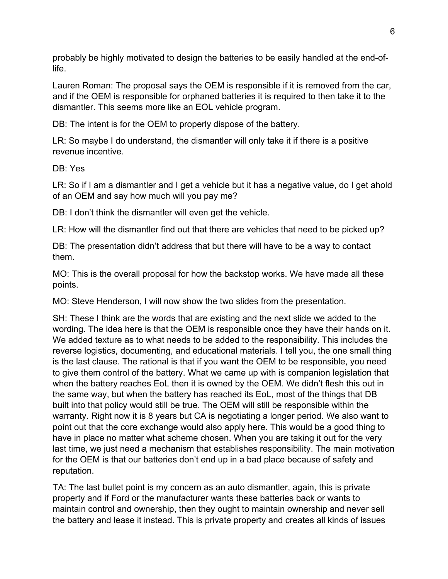probably be highly motivated to design the batteries to be easily handled at the end-oflife.

Lauren Roman: The proposal says the OEM is responsible if it is removed from the car, and if the OEM is responsible for orphaned batteries it is required to then take it to the dismantler. This seems more like an EOL vehicle program.

DB: The intent is for the OEM to properly dispose of the battery.

LR: So maybe I do understand, the dismantler will only take it if there is a positive revenue incentive.

DB: Yes

LR: So if I am a dismantler and I get a vehicle but it has a negative value, do I get ahold of an OEM and say how much will you pay me?

DB: I don't think the dismantler will even get the vehicle.

LR: How will the dismantler find out that there are vehicles that need to be picked up?

DB: The presentation didn't address that but there will have to be a way to contact them.

MO: This is the overall proposal for how the backstop works. We have made all these points.

MO: Steve Henderson, I will now show the two slides from the presentation.

SH: These I think are the words that are existing and the next slide we added to the wording. The idea here is that the OEM is responsible once they have their hands on it. We added texture as to what needs to be added to the responsibility. This includes the reverse logistics, documenting, and educational materials. I tell you, the one small thing is the last clause. The rational is that if you want the OEM to be responsible, you need to give them control of the battery. What we came up with is companion legislation that when the battery reaches EoL then it is owned by the OEM. We didn't flesh this out in the same way, but when the battery has reached its EoL, most of the things that DB built into that policy would still be true. The OEM will still be responsible within the warranty. Right now it is 8 years but CA is negotiating a longer period. We also want to point out that the core exchange would also apply here. This would be a good thing to have in place no matter what scheme chosen. When you are taking it out for the very last time, we just need a mechanism that establishes responsibility. The main motivation for the OEM is that our batteries don't end up in a bad place because of safety and reputation.

TA: The last bullet point is my concern as an auto dismantler, again, this is private property and if Ford or the manufacturer wants these batteries back or wants to maintain control and ownership, then they ought to maintain ownership and never sell the battery and lease it instead. This is private property and creates all kinds of issues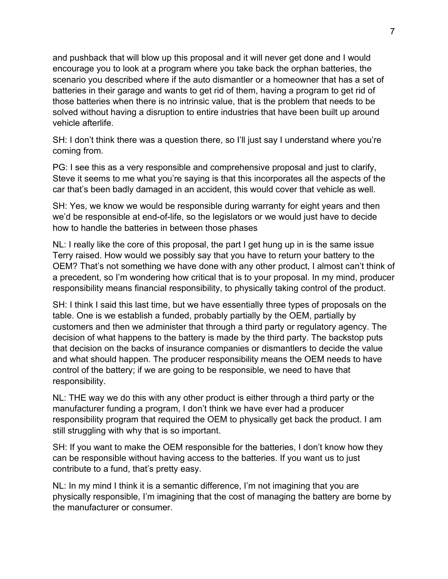and pushback that will blow up this proposal and it will never get done and I would encourage you to look at a program where you take back the orphan batteries, the scenario you described where if the auto dismantler or a homeowner that has a set of batteries in their garage and wants to get rid of them, having a program to get rid of those batteries when there is no intrinsic value, that is the problem that needs to be solved without having a disruption to entire industries that have been built up around vehicle afterlife.

SH: I don't think there was a question there, so I'll just say I understand where you're coming from.

PG: I see this as a very responsible and comprehensive proposal and just to clarify, Steve it seems to me what you're saying is that this incorporates all the aspects of the car that's been badly damaged in an accident, this would cover that vehicle as well.

SH: Yes, we know we would be responsible during warranty for eight years and then we'd be responsible at end-of-life, so the legislators or we would just have to decide how to handle the batteries in between those phases

NL: I really like the core of this proposal, the part I get hung up in is the same issue Terry raised. How would we possibly say that you have to return your battery to the OEM? That's not something we have done with any other product, I almost can't think of a precedent, so I'm wondering how critical that is to your proposal. In my mind, producer responsibility means financial responsibility, to physically taking control of the product.

SH: I think I said this last time, but we have essentially three types of proposals on the table. One is we establish a funded, probably partially by the OEM, partially by customers and then we administer that through a third party or regulatory agency. The decision of what happens to the battery is made by the third party. The backstop puts that decision on the backs of insurance companies or dismantlers to decide the value and what should happen. The producer responsibility means the OEM needs to have control of the battery; if we are going to be responsible, we need to have that responsibility.

NL: THE way we do this with any other product is either through a third party or the manufacturer funding a program, I don't think we have ever had a producer responsibility program that required the OEM to physically get back the product. I am still struggling with why that is so important.

SH: If you want to make the OEM responsible for the batteries, I don't know how they can be responsible without having access to the batteries. If you want us to just contribute to a fund, that's pretty easy.

NL: In my mind I think it is a semantic difference, I'm not imagining that you are physically responsible, I'm imagining that the cost of managing the battery are borne by the manufacturer or consumer.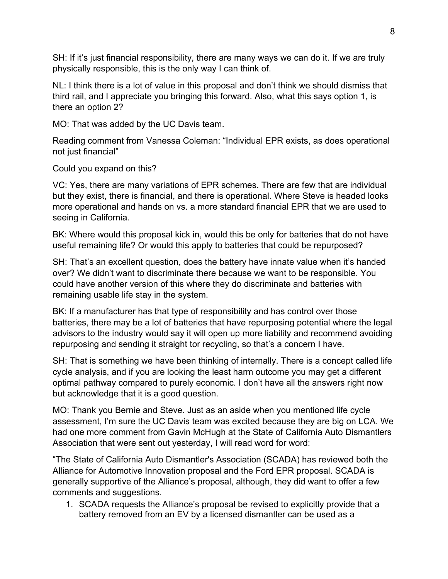SH: If it's just financial responsibility, there are many ways we can do it. If we are truly physically responsible, this is the only way I can think of.

NL: I think there is a lot of value in this proposal and don't think we should dismiss that third rail, and I appreciate you bringing this forward. Also, what this says option 1, is there an option 2?

MO: That was added by the UC Davis team.

Reading comment from Vanessa Coleman: "Individual EPR exists, as does operational not just financial"

Could you expand on this?

VC: Yes, there are many variations of EPR schemes. There are few that are individual but they exist, there is financial, and there is operational. Where Steve is headed looks more operational and hands on vs. a more standard financial EPR that we are used to seeing in California.

BK: Where would this proposal kick in, would this be only for batteries that do not have useful remaining life? Or would this apply to batteries that could be repurposed?

SH: That's an excellent question, does the battery have innate value when it's handed over? We didn't want to discriminate there because we want to be responsible. You could have another version of this where they do discriminate and batteries with remaining usable life stay in the system.

BK: If a manufacturer has that type of responsibility and has control over those batteries, there may be a lot of batteries that have repurposing potential where the legal advisors to the industry would say it will open up more liability and recommend avoiding repurposing and sending it straight tor recycling, so that's a concern I have.

SH: That is something we have been thinking of internally. There is a concept called life cycle analysis, and if you are looking the least harm outcome you may get a different optimal pathway compared to purely economic. I don't have all the answers right now but acknowledge that it is a good question.

MO: Thank you Bernie and Steve. Just as an aside when you mentioned life cycle assessment, I'm sure the UC Davis team was excited because they are big on LCA. We had one more comment from Gavin McHugh at the State of California Auto Dismantlers Association that were sent out yesterday, I will read word for word:

"The State of California Auto Dismantler's Association (SCADA) has reviewed both the Alliance for Automotive Innovation proposal and the Ford EPR proposal. SCADA is generally supportive of the Alliance's proposal, although, they did want to offer a few comments and suggestions.

1. SCADA requests the Alliance's proposal be revised to explicitly provide that a battery removed from an EV by a licensed dismantler can be used as a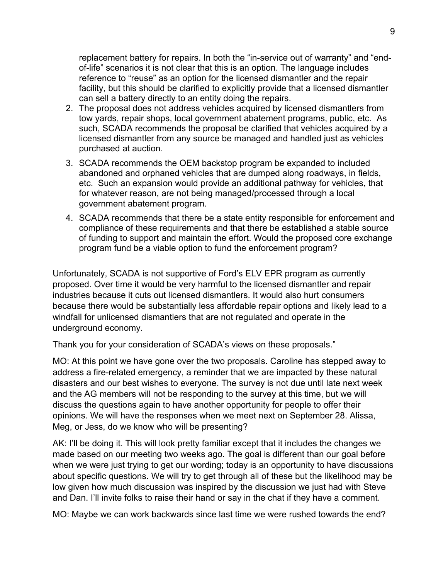replacement battery for repairs. In both the "in-service out of warranty" and "endof-life" scenarios it is not clear that this is an option. The language includes reference to "reuse" as an option for the licensed dismantler and the repair facility, but this should be clarified to explicitly provide that a licensed dismantler can sell a battery directly to an entity doing the repairs.

- 2. The proposal does not address vehicles acquired by licensed dismantlers from tow yards, repair shops, local government abatement programs, public, etc. As such, SCADA recommends the proposal be clarified that vehicles acquired by a licensed dismantler from any source be managed and handled just as vehicles purchased at auction.
- 3. SCADA recommends the OEM backstop program be expanded to included abandoned and orphaned vehicles that are dumped along roadways, in fields, etc. Such an expansion would provide an additional pathway for vehicles, that for whatever reason, are not being managed/processed through a local government abatement program.
- 4. SCADA recommends that there be a state entity responsible for enforcement and compliance of these requirements and that there be established a stable source of funding to support and maintain the effort. Would the proposed core exchange program fund be a viable option to fund the enforcement program?

Unfortunately, SCADA is not supportive of Ford's ELV EPR program as currently proposed. Over time it would be very harmful to the licensed dismantler and repair industries because it cuts out licensed dismantlers. It would also hurt consumers because there would be substantially less affordable repair options and likely lead to a windfall for unlicensed dismantlers that are not regulated and operate in the underground economy.

Thank you for your consideration of SCADA's views on these proposals."

MO: At this point we have gone over the two proposals. Caroline has stepped away to address a fire-related emergency, a reminder that we are impacted by these natural disasters and our best wishes to everyone. The survey is not due until late next week and the AG members will not be responding to the survey at this time, but we will discuss the questions again to have another opportunity for people to offer their opinions. We will have the responses when we meet next on September 28. Alissa, Meg, or Jess, do we know who will be presenting?

AK: I'll be doing it. This will look pretty familiar except that it includes the changes we made based on our meeting two weeks ago. The goal is different than our goal before when we were just trying to get our wording; today is an opportunity to have discussions about specific questions. We will try to get through all of these but the likelihood may be low given how much discussion was inspired by the discussion we just had with Steve and Dan. I'll invite folks to raise their hand or say in the chat if they have a comment.

MO: Maybe we can work backwards since last time we were rushed towards the end?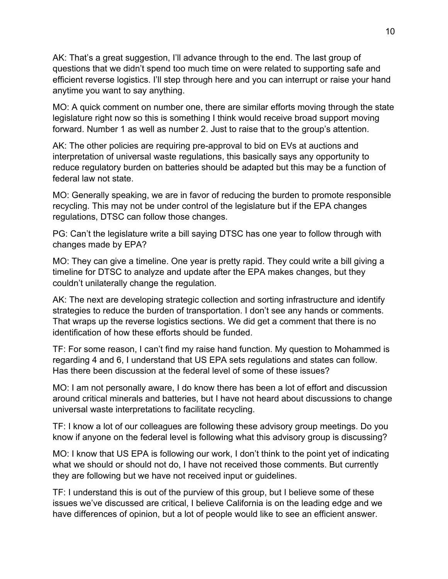AK: That's a great suggestion, I'll advance through to the end. The last group of questions that we didn't spend too much time on were related to supporting safe and efficient reverse logistics. I'll step through here and you can interrupt or raise your hand anytime you want to say anything.

MO: A quick comment on number one, there are similar efforts moving through the state legislature right now so this is something I think would receive broad support moving forward. Number 1 as well as number 2. Just to raise that to the group's attention.

AK: The other policies are requiring pre-approval to bid on EVs at auctions and interpretation of universal waste regulations, this basically says any opportunity to reduce regulatory burden on batteries should be adapted but this may be a function of federal law not state.

MO: Generally speaking, we are in favor of reducing the burden to promote responsible recycling. This may not be under control of the legislature but if the EPA changes regulations, DTSC can follow those changes.

PG: Can't the legislature write a bill saying DTSC has one year to follow through with changes made by EPA?

MO: They can give a timeline. One year is pretty rapid. They could write a bill giving a timeline for DTSC to analyze and update after the EPA makes changes, but they couldn't unilaterally change the regulation.

AK: The next are developing strategic collection and sorting infrastructure and identify strategies to reduce the burden of transportation. I don't see any hands or comments. That wraps up the reverse logistics sections. We did get a comment that there is no identification of how these efforts should be funded.

TF: For some reason, I can't find my raise hand function. My question to Mohammed is regarding 4 and 6, I understand that US EPA sets regulations and states can follow. Has there been discussion at the federal level of some of these issues?

MO: I am not personally aware, I do know there has been a lot of effort and discussion around critical minerals and batteries, but I have not heard about discussions to change universal waste interpretations to facilitate recycling.

TF: I know a lot of our colleagues are following these advisory group meetings. Do you know if anyone on the federal level is following what this advisory group is discussing?

MO: I know that US EPA is following our work, I don't think to the point yet of indicating what we should or should not do, I have not received those comments. But currently they are following but we have not received input or guidelines.

TF: I understand this is out of the purview of this group, but I believe some of these issues we've discussed are critical, I believe California is on the leading edge and we have differences of opinion, but a lot of people would like to see an efficient answer.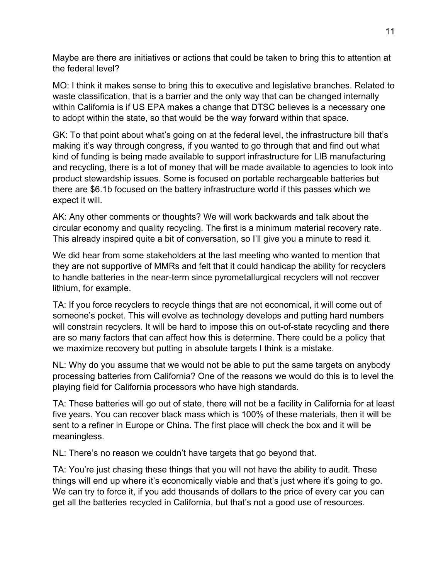Maybe are there are initiatives or actions that could be taken to bring this to attention at the federal level?

MO: I think it makes sense to bring this to executive and legislative branches. Related to waste classification, that is a barrier and the only way that can be changed internally within California is if US EPA makes a change that DTSC believes is a necessary one to adopt within the state, so that would be the way forward within that space.

GK: To that point about what's going on at the federal level, the infrastructure bill that's making it's way through congress, if you wanted to go through that and find out what kind of funding is being made available to support infrastructure for LIB manufacturing and recycling, there is a lot of money that will be made available to agencies to look into product stewardship issues. Some is focused on portable rechargeable batteries but there are \$6.1b focused on the battery infrastructure world if this passes which we expect it will.

AK: Any other comments or thoughts? We will work backwards and talk about the circular economy and quality recycling. The first is a minimum material recovery rate. This already inspired quite a bit of conversation, so I'll give you a minute to read it.

We did hear from some stakeholders at the last meeting who wanted to mention that they are not supportive of MMRs and felt that it could handicap the ability for recyclers to handle batteries in the near-term since pyrometallurgical recyclers will not recover lithium, for example.

TA: If you force recyclers to recycle things that are not economical, it will come out of someone's pocket. This will evolve as technology develops and putting hard numbers will constrain recyclers. It will be hard to impose this on out-of-state recycling and there are so many factors that can affect how this is determine. There could be a policy that we maximize recovery but putting in absolute targets I think is a mistake.

NL: Why do you assume that we would not be able to put the same targets on anybody processing batteries from California? One of the reasons we would do this is to level the playing field for California processors who have high standards.

TA: These batteries will go out of state, there will not be a facility in California for at least five years. You can recover black mass which is 100% of these materials, then it will be sent to a refiner in Europe or China. The first place will check the box and it will be meaningless.

NL: There's no reason we couldn't have targets that go beyond that.

TA: You're just chasing these things that you will not have the ability to audit. These things will end up where it's economically viable and that's just where it's going to go. We can try to force it, if you add thousands of dollars to the price of every car you can get all the batteries recycled in California, but that's not a good use of resources.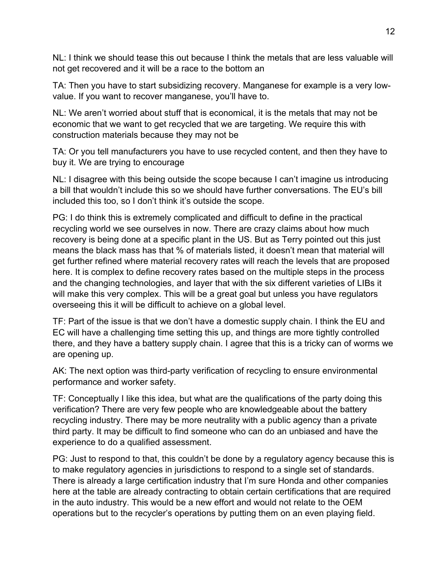NL: I think we should tease this out because I think the metals that are less valuable will not get recovered and it will be a race to the bottom an

TA: Then you have to start subsidizing recovery. Manganese for example is a very lowvalue. If you want to recover manganese, you'll have to.

NL: We aren't worried about stuff that is economical, it is the metals that may not be economic that we want to get recycled that we are targeting. We require this with construction materials because they may not be

TA: Or you tell manufacturers you have to use recycled content, and then they have to buy it. We are trying to encourage

NL: I disagree with this being outside the scope because I can't imagine us introducing a bill that wouldn't include this so we should have further conversations. The EU's bill included this too, so I don't think it's outside the scope.

PG: I do think this is extremely complicated and difficult to define in the practical recycling world we see ourselves in now. There are crazy claims about how much recovery is being done at a specific plant in the US. But as Terry pointed out this just means the black mass has that % of materials listed, it doesn't mean that material will get further refined where material recovery rates will reach the levels that are proposed here. It is complex to define recovery rates based on the multiple steps in the process and the changing technologies, and layer that with the six different varieties of LIBs it will make this very complex. This will be a great goal but unless you have regulators overseeing this it will be difficult to achieve on a global level.

TF: Part of the issue is that we don't have a domestic supply chain. I think the EU and EC will have a challenging time setting this up, and things are more tightly controlled there, and they have a battery supply chain. I agree that this is a tricky can of worms we are opening up.

AK: The next option was third-party verification of recycling to ensure environmental performance and worker safety.

TF: Conceptually I like this idea, but what are the qualifications of the party doing this verification? There are very few people who are knowledgeable about the battery recycling industry. There may be more neutrality with a public agency than a private third party. It may be difficult to find someone who can do an unbiased and have the experience to do a qualified assessment.

PG: Just to respond to that, this couldn't be done by a regulatory agency because this is to make regulatory agencies in jurisdictions to respond to a single set of standards. There is already a large certification industry that I'm sure Honda and other companies here at the table are already contracting to obtain certain certifications that are required in the auto industry. This would be a new effort and would not relate to the OEM operations but to the recycler's operations by putting them on an even playing field.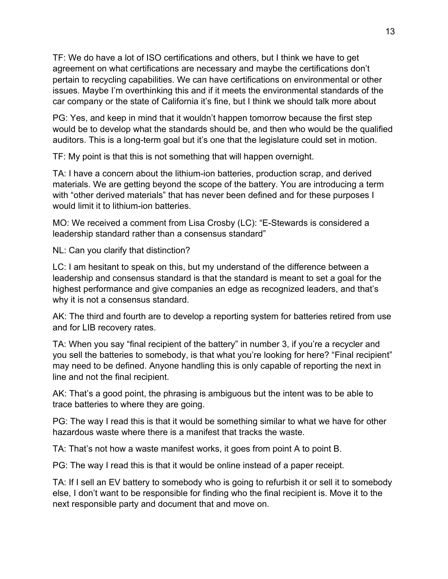TF: We do have a lot of ISO certifications and others, but I think we have to get agreement on what certifications are necessary and maybe the certifications don't pertain to recycling capabilities. We can have certifications on environmental or other issues. Maybe I'm overthinking this and if it meets the environmental standards of the car company or the state of California it's fine, but I think we should talk more about

PG: Yes, and keep in mind that it wouldn't happen tomorrow because the first step would be to develop what the standards should be, and then who would be the qualified auditors. This is a long-term goal but it's one that the legislature could set in motion.

TF: My point is that this is not something that will happen overnight.

TA: I have a concern about the lithium-ion batteries, production scrap, and derived materials. We are getting beyond the scope of the battery. You are introducing a term with "other derived materials" that has never been defined and for these purposes I would limit it to lithium-ion batteries.

MO: We received a comment from Lisa Crosby (LC): "E-Stewards is considered a leadership standard rather than a consensus standard"

NL: Can you clarify that distinction?

LC: I am hesitant to speak on this, but my understand of the difference between a leadership and consensus standard is that the standard is meant to set a goal for the highest performance and give companies an edge as recognized leaders, and that's why it is not a consensus standard.

AK: The third and fourth are to develop a reporting system for batteries retired from use and for LIB recovery rates.

TA: When you say "final recipient of the battery" in number 3, if you're a recycler and you sell the batteries to somebody, is that what you're looking for here? "Final recipient" may need to be defined. Anyone handling this is only capable of reporting the next in line and not the final recipient.

AK: That's a good point, the phrasing is ambiguous but the intent was to be able to trace batteries to where they are going.

PG: The way I read this is that it would be something similar to what we have for other hazardous waste where there is a manifest that tracks the waste.

TA: That's not how a waste manifest works, it goes from point A to point B.

PG: The way I read this is that it would be online instead of a paper receipt.

TA: If I sell an EV battery to somebody who is going to refurbish it or sell it to somebody else, I don't want to be responsible for finding who the final recipient is. Move it to the next responsible party and document that and move on.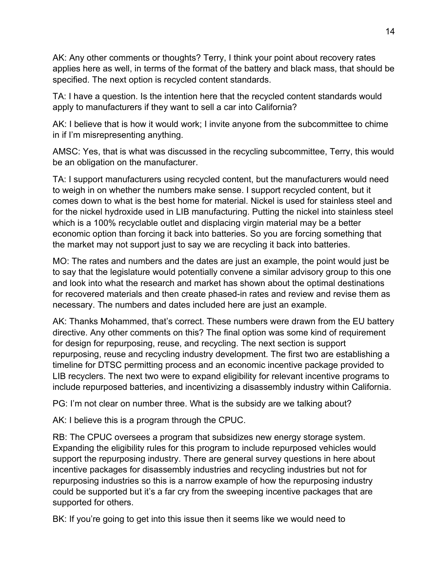AK: Any other comments or thoughts? Terry, I think your point about recovery rates applies here as well, in terms of the format of the battery and black mass, that should be specified. The next option is recycled content standards.

TA: I have a question. Is the intention here that the recycled content standards would apply to manufacturers if they want to sell a car into California?

AK: I believe that is how it would work; I invite anyone from the subcommittee to chime in if I'm misrepresenting anything.

AMSC: Yes, that is what was discussed in the recycling subcommittee, Terry, this would be an obligation on the manufacturer.

TA: I support manufacturers using recycled content, but the manufacturers would need to weigh in on whether the numbers make sense. I support recycled content, but it comes down to what is the best home for material. Nickel is used for stainless steel and for the nickel hydroxide used in LIB manufacturing. Putting the nickel into stainless steel which is a 100% recyclable outlet and displacing virgin material may be a better economic option than forcing it back into batteries. So you are forcing something that the market may not support just to say we are recycling it back into batteries.

MO: The rates and numbers and the dates are just an example, the point would just be to say that the legislature would potentially convene a similar advisory group to this one and look into what the research and market has shown about the optimal destinations for recovered materials and then create phased-in rates and review and revise them as necessary. The numbers and dates included here are just an example.

AK: Thanks Mohammed, that's correct. These numbers were drawn from the EU battery directive. Any other comments on this? The final option was some kind of requirement for design for repurposing, reuse, and recycling. The next section is support repurposing, reuse and recycling industry development. The first two are establishing a timeline for DTSC permitting process and an economic incentive package provided to LIB recyclers. The next two were to expand eligibility for relevant incentive programs to include repurposed batteries, and incentivizing a disassembly industry within California.

PG: I'm not clear on number three. What is the subsidy are we talking about?

AK: I believe this is a program through the CPUC.

RB: The CPUC oversees a program that subsidizes new energy storage system. Expanding the eligibility rules for this program to include repurposed vehicles would support the repurposing industry. There are general survey questions in here about incentive packages for disassembly industries and recycling industries but not for repurposing industries so this is a narrow example of how the repurposing industry could be supported but it's a far cry from the sweeping incentive packages that are supported for others.

BK: If you're going to get into this issue then it seems like we would need to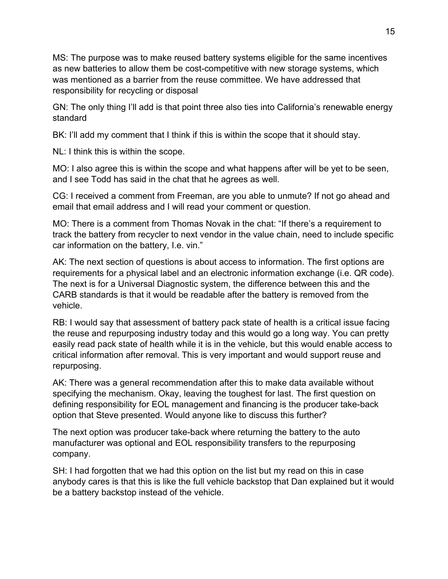MS: The purpose was to make reused battery systems eligible for the same incentives as new batteries to allow them be cost-competitive with new storage systems, which was mentioned as a barrier from the reuse committee. We have addressed that responsibility for recycling or disposal

GN: The only thing I'll add is that point three also ties into California's renewable energy standard

BK: I'll add my comment that I think if this is within the scope that it should stay.

NL: I think this is within the scope.

MO: I also agree this is within the scope and what happens after will be yet to be seen, and I see Todd has said in the chat that he agrees as well.

CG: I received a comment from Freeman, are you able to unmute? If not go ahead and email that email address and I will read your comment or question.

MO: There is a comment from Thomas Novak in the chat: "If there's a requirement to track the battery from recycler to next vendor in the value chain, need to include specific car information on the battery, I.e. vin."

AK: The next section of questions is about access to information. The first options are requirements for a physical label and an electronic information exchange (i.e. QR code). The next is for a Universal Diagnostic system, the difference between this and the CARB standards is that it would be readable after the battery is removed from the vehicle.

RB: I would say that assessment of battery pack state of health is a critical issue facing the reuse and repurposing industry today and this would go a long way. You can pretty easily read pack state of health while it is in the vehicle, but this would enable access to critical information after removal. This is very important and would support reuse and repurposing.

AK: There was a general recommendation after this to make data available without specifying the mechanism. Okay, leaving the toughest for last. The first question on defining responsibility for EOL management and financing is the producer take-back option that Steve presented. Would anyone like to discuss this further?

The next option was producer take-back where returning the battery to the auto manufacturer was optional and EOL responsibility transfers to the repurposing company.

SH: I had forgotten that we had this option on the list but my read on this in case anybody cares is that this is like the full vehicle backstop that Dan explained but it would be a battery backstop instead of the vehicle.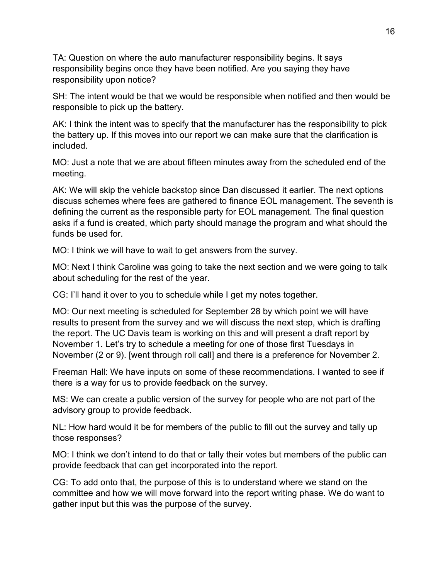TA: Question on where the auto manufacturer responsibility begins. It says responsibility begins once they have been notified. Are you saying they have responsibility upon notice?

SH: The intent would be that we would be responsible when notified and then would be responsible to pick up the battery.

AK: I think the intent was to specify that the manufacturer has the responsibility to pick the battery up. If this moves into our report we can make sure that the clarification is included.

MO: Just a note that we are about fifteen minutes away from the scheduled end of the meeting.

AK: We will skip the vehicle backstop since Dan discussed it earlier. The next options discuss schemes where fees are gathered to finance EOL management. The seventh is defining the current as the responsible party for EOL management. The final question asks if a fund is created, which party should manage the program and what should the funds be used for.

MO: I think we will have to wait to get answers from the survey.

MO: Next I think Caroline was going to take the next section and we were going to talk about scheduling for the rest of the year.

CG: I'll hand it over to you to schedule while I get my notes together.

MO: Our next meeting is scheduled for September 28 by which point we will have results to present from the survey and we will discuss the next step, which is drafting the report. The UC Davis team is working on this and will present a draft report by November 1. Let's try to schedule a meeting for one of those first Tuesdays in November (2 or 9). [went through roll call] and there is a preference for November 2.

Freeman Hall: We have inputs on some of these recommendations. I wanted to see if there is a way for us to provide feedback on the survey.

MS: We can create a public version of the survey for people who are not part of the advisory group to provide feedback.

NL: How hard would it be for members of the public to fill out the survey and tally up those responses?

MO: I think we don't intend to do that or tally their votes but members of the public can provide feedback that can get incorporated into the report.

CG: To add onto that, the purpose of this is to understand where we stand on the committee and how we will move forward into the report writing phase. We do want to gather input but this was the purpose of the survey.